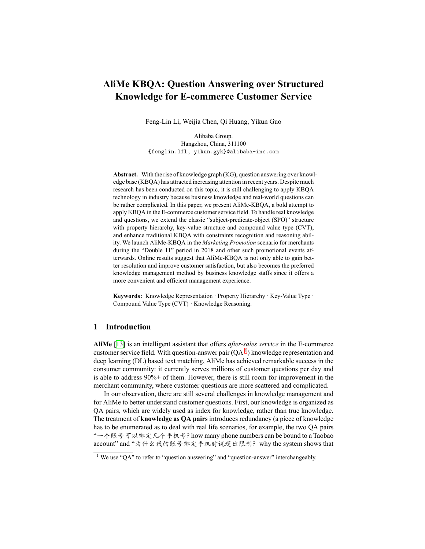# **AliMe KBQA: Question Answering over Structured Knowledge for E-commerce Customer Service**

Feng-Lin Li, Weijia Chen, Qi Huang, Yikun Guo

Alibaba Group. Hangzhou, China, 311100 {fenglin.lfl, yikun.gyk}@alibaba-inc.com

**Abstract.** With the rise of knowledge graph (KG), question answering over knowledge base (KBQA) has attracted increasing attention in recent years. Despite much research has been conducted on this topic, it is still challenging to apply KBQA technology in industry because business knowledge and real-world questions can be rather complicated. In this paper, we present AliMe-KBQA, a bold attempt to apply KBQA in the E-commerce customer service field. To handle real knowledge and questions, we extend the classic "subject-predicate-object (SPO)" structure with property hierarchy, key-value structure and compound value type (CVT), and enhance traditional KBQA with constraints recognition and reasoning ability. We launch AliMe-KBQA in the *Marketing Promotion* scenario for merchants during the "Double 11" period in 2018 and other such promotional events afterwards. Online results suggest that AliMe-KBQA is not only able to gain better resolution and improve customer satisfaction, but also becomes the preferred knowledge management method by business knowledge staffs since it offers a more convenient and efficient management experience.

**Keywords:** Knowledge Representation · Property Hierarchy · Key-Value Type · Compound Value Type (CVT) · Knowledge Reasoning.

### **1 Introduction**

**AliMe** [\[13](#page-11-0)] is an intelligent assistant that offers *after-sales service* in the E-commerce customer service field. With question-answer pair  $(QA<sup>1</sup>)$  $(QA<sup>1</sup>)$  $(QA<sup>1</sup>)$  knowledge representation and deep learning (DL) based text matching, AliMe has achieved remarkable success in the consumer community: it currently serves millions of customer questions per day and is able to address 90%+ of them. However, there is still room for improvement in the merchant community, where customer questions are more scattered and complicated.

In our observation, there are still several challenges in knowledge management and for AliMe to better understand customer questions. First, our knowledge is organized as QA pairs, which are widely used as index for knowledge, rather than true knowledge. The treatment of **knowledge as QA pairs** introduces redundancy (a piece of knowledge has to be enumerated as to deal with real life scenarios, for example, the two QA pairs "⼀个账号可以绑定⼏个⼿机号?how many phone numbers can be bound to a Taobao account" and "为什么我的账号绑定手机时说超出限制?why the system shows that

<span id="page-0-0"></span><sup>&</sup>lt;sup>1</sup> We use "QA" to refer to "question answering" and "question-answer" interchangeably.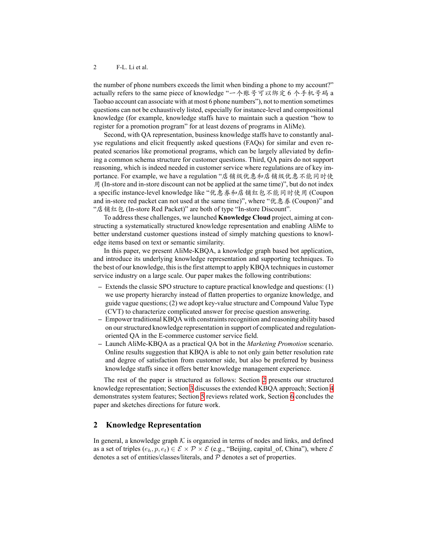the number of phone numbers exceeds the limit when binding a phone to my account?" actually refers to the same piece of knowledge "一个账号可以绑定 6 个手机号码 a Taobao account can associate with at most 6 phone numbers"), not to mention sometimes questions can not be exhaustively listed, especially for instance-level and compositional knowledge (for example, knowledge staffs have to maintain such a question "how to register for a promotion program" for at least dozens of programs in AliMe).

Second, with QA representation, business knowledge staffs have to constantly analyse regulations and elicit frequently asked questions (FAQs) for similar and even repeated scenarios like promotional programs, which can be largely alleviated by defining a common schema structure for customer questions. Third, QA pairs do not support reasoning, which is indeed needed in customer service where regulations are of key importance. For example, we have a regulation "店铺级优惠和店铺级优惠不能同时使 用 (In-store and in-store discount can not be applied at the same time)", but do not index a specific instance-level knowledge like "优惠券和店铺红包不能同时使用 (Coupon and in-store red packet can not used at the same time)", where "优惠券 (Coupon)" and "店铺红包 (In-store Red Packet)" are both of type "In-store Discount".

To address these challenges, we launched **Knowledge Cloud** project, aiming at constructing a systematically structured knowledge representation and enabling AliMe to better understand customer questions instead of simply matching questions to knowledge items based on text or semantic similarity.

In this paper, we present AliMe-KBQA, a knowledge graph based bot application, and introduce its underlying knowledge representation and supporting techniques. To the best of our knowledge, this is the first attempt to apply KBQA techniques in customer service industry on a large scale. Our paper makes the following contributions:

- **–** Extends the classic SPO structure to capture practical knowledge and questions: (1) we use property hierarchy instead of flatten properties to organize knowledge, and guide vague questions; (2) we adopt key-value structure and Compound Value Type (CVT) to characterize complicated answer for precise question answering.
- **–** Empower traditional KBQA with constraints recognition and reasoning ability based on our structured knowledge representation in support of complicated and regulationoriented QA in the E-commerce customer service field.
- **–** Launch AliMe-KBQA as a practical QA bot in the *Marketing Promotion* scenario. Online results suggestion that KBQA is able to not only gain better resolution rate and degree of satisfaction from customer side, but also be preferred by business knowledge staffs since it offers better knowledge management experience.

The rest of the paper is structured as follows: Section [2](#page-1-0) presents our structured knowledge representation; Section [3](#page-5-0) discusses the extended KBQA approach; Section [4](#page-6-0) demonstrates system features; Section [5](#page-8-0) reviews related work, Section [6](#page-10-0) concludes the paper and sketches directions for future work.

## <span id="page-1-0"></span>**2 Knowledge Representation**

In general, a knowledge graph  $K$  is organzied in terms of nodes and links, and defined as a set of triples  $(e_h, p, e_t) \in \mathcal{E} \times \mathcal{P} \times \mathcal{E}$  (e.g., "Beijing, capital of, China"), where  $\mathcal{E}$ denotes a set of entities/classes/literals, and *P* denotes a set of properties.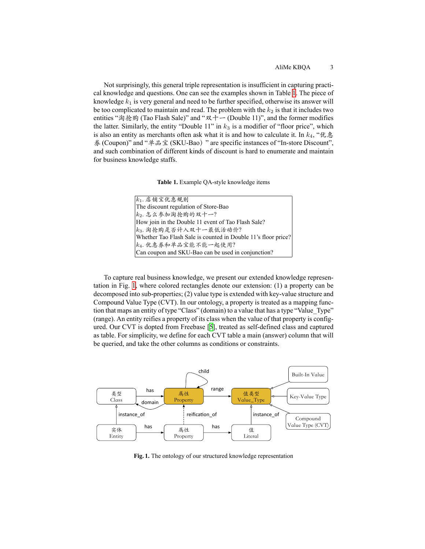Not surprisingly, this general triple representation is insufficient in capturing practical knowledge and questions. One can see the examples shown in Table [1](#page-2-0). The piece of knowledge *k*<sup>1</sup> is very general and need to be further specified, otherwise its answer will be too complicated to maintain and read. The problem with the  $k_2$  is that it includes two entities "淘抢购 (Tao Flash Sale)" and "双十一 (Double 11)", and the former modifies the latter. Similarly, the entity "Double  $11$ " in  $k_3$  is a modifier of "floor price", which is also an entity as merchants often ask what it is and how to calculate it. In  $k_4$ , "优惠 券 (Coupon)" and "单品宝 (SKU-Bao)" are specific instances of "In-store Discount", and such combination of different kinds of discount is hard to enumerate and maintain for business knowledge staffs.

<span id="page-2-0"></span>**Table 1.** Example QA-style knowledge items

| $ k_1$ . 店铺宝优惠规则                                              |
|---------------------------------------------------------------|
| The discount regulation of Store-Bao                          |
| $ k_2$ . 怎么参加淘抢购的双十一?                                         |
| How join in the Double 11 event of Tao Flash Sale?            |
| k3. 淘抢购是否计入双十一最低活动价?                                          |
| Whether Tao Flash Sale is counted in Double 11's floor price? |
| $ k_4$ . 优惠券和单品宝能不能一起使用?                                      |
| Can coupon and SKU-Bao can be used in conjunction?            |
|                                                               |

To capture real business knowledge, we present our extended knowledge representation in Fig. [1](#page-2-1), where colored rectangles denote our extension: (1) a property can be decomposed into sub-properties; (2) value type is extended with key-value structure and Compound Value Type (CVT). In our ontology, a property is treated as a mapping function that maps an entity of type "Class" (domain) to a value that has a type "Value\_Type" (range). An entity reifies a property of its class when the value of that property is configured. Our CVT is dopted from Freebase[[5\]](#page-10-1), treated as self-defined class and captured as table. For simplicity, we define for each CVT table a main (answer) column that will be queried, and take the other columns as conditions or constraints.



<span id="page-2-1"></span>**Fig. 1.** The ontology of our structured knowledge representation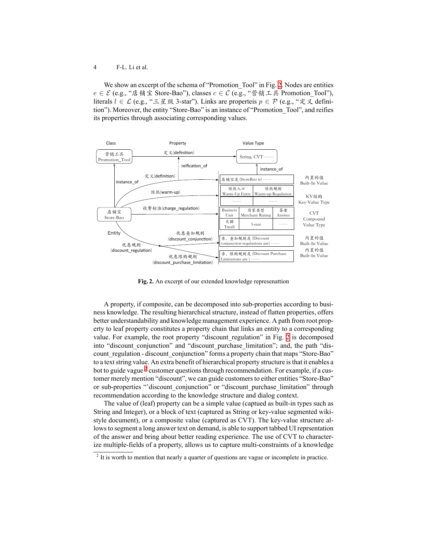#### 4 F-L. Li et al.

We show an excerpt of the schema of "Promotion Tool" in Fig. [2.](#page-3-0) Nodes are entities *e* ∈ *E* (e.g., "店铺宝 Store-Bao"), classes *c* ∈ *C* (e.g., "营销工具 Promotion Tool"), literals *l ∈ L* (e.g., "三星级 3-star"). Links are properteis *p ∈ P* (e.g., "定义 definition"). Moreover, the entity "Store-Bao" is an instance of "Promotion\_Tool", and reifies its properties through associating corresponding values.



<span id="page-3-0"></span>**Fig. 2.** An excerpt of our extended knowledge represenattion

A property, if composite, can be decomposed into sub-properties according to business knowledge. The resulting hierarchical structure, instead of flatten properties, offers better understandability and knowledge management experience. A path from root property to leaf property constitutes a property chain that links an entity to a corresponding value. For example, the root property "discount\_regulation" in Fig. [2](#page-3-0) is decomposed into "discount conjunction" and "discount purchase limitation"; and, the path "discount regulation - discount conjunction" forms a property chain that maps "Store-Bao" to a text string value. An extra benefit of hierarchical property structure is that it enables a bot to guide vague  $2$  customer questions through recommendation. For example, if a customer merely mention "discount", we can guide customers to either entities "Store-Bao" or sub-properties "'discount conjunction" or "discount purchase limitation" through recommendation according to the knowledge structure and dialog context.

The value of (leaf) property can be a simple value (captued as built-in types such as String and Integer), or a block of text (captured as String or key-value segmented wikistyle document), or a composite value (captured as CVT). The key-value structure allows to segment a long answer text on demand, is able to support tabbed UI reprsentation of the answer and bring about better reading experience. The use of CVT to characterize multiple-fields of a property, allows us to capture multi-constraints of a knowledge

<span id="page-3-1"></span> $2$  It is worth to mention that nearly a quarter of questions are vague or incomplete in practice.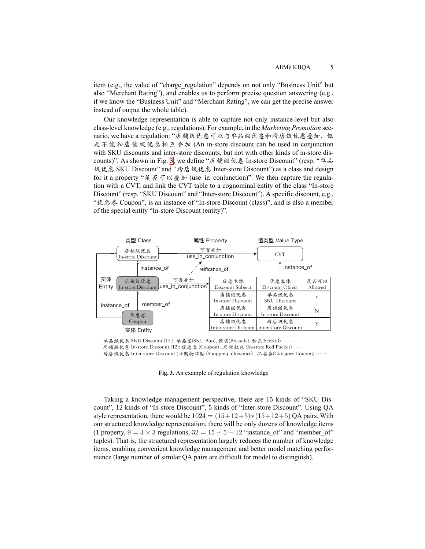item (e.g., the value of "charge\_regulation" depends on not only "Business Unit" but also "Merchant Rating"), and enables us to perform precise question answering (e.g., if we know the "Business Unit" and "Merchant Rating", we can get the precise answer instead of output the whole table).

Our knowledge representation is able to capture not only instance-level but also class-level knowledge (e.g., regulations). For example, in the *Marketing Promotion* scenario, we have a regulation: "店铺级优惠可以与单品级优惠和跨店级优惠叠加, 但 是不能和店铺级优惠相互叠加 (An in-store discount can be used in conjunction with SKU discounts and inter-store discounts, but not with other kinds of in-store discounts)". As shown in Fig. [3,](#page-4-0) we define "店铺级优惠 In-store Discount" (resp. "单品 级优惠 SKU Discount" and "跨店级优惠 Inter-store Discount") as a class and design for it a property "是否可以叠加 (use in conjunction)". We then capture the regulation with a CVT, and link the CVT table to a cognominal entity of the class "In-store Discount" (resp. "SKU Discount" and "Inter-store Discount"). A specific discount, e.g., "优惠券 Coupon", is an instance of "In-store Discount (class)", and is also a member of the special entity "In-store Discount (entity)".



单品级优惠 SKU Discount (15): 单品宝(SKU Bao), 预售(Pre-sale), 秒杀(SecKill) ……

店铺级优惠 In-store Discount (12): 优惠券 (Coupon), 店铺红包 (In-store Red Packet) ……

跨店级优惠 Inter-store Discount (5):购物津贴 (Shopping allowance), 品类券(Category Coupon) ……

<span id="page-4-0"></span>**Fig. 3.** An example of regulation knowledge

Taking a knowledge management perspective, there are 15 kinds of "SKU Discount", 12 kinds of "In-store Discount", 5 kinds of "Inter-store Discount". Using QA style representation, there would be  $1024 = (15+12+5)*(15+12+5)$  QA pairs. With our structured knowledge representation, there will be only dozens of knowledge items (1 property,  $9 = 3 \times 3$  regulations,  $32 = 15 + 5 + 12$  "instance of" and "member of" tuples). That is, the structured representation largely reduces the number of knowledge items, enabling convenient knowledge management and better model matching performance (large number of similar QA pairs are difficult for model to distinguish).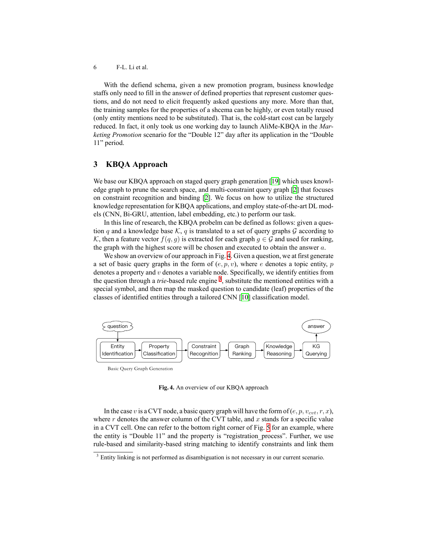6 F-L. Li et al.

With the defiend schema, given a new promotion program, business knowledge staffs only need to fill in the answer of defined properties that represent customer questions, and do not need to elicit frequently asked questions any more. More than that, the training samples for the properties of a shcema can be highly, or even totally reused (only entity mentions need to be substituted). That is, the cold-start cost can be largely reduced. In fact, it only took us one working day to launch AliMe-KBQA in the *Marketing Promotion* scenario for the "Double 12" day after its application in the "Double 11" period.

### <span id="page-5-0"></span>**3 KBQA Approach**

We base our KBQA approach on staged query graph generation [\[19](#page-11-1)] which uses knowledge graph to prune the search space, and multi-constraint query graph[[2\]](#page-10-2) that focuses on constraint recognition and binding [\[2](#page-10-2)]. We focus on how to utilize the structured knowledge representation for KBQA applications, and employ state-of-the-art DL models (CNN, Bi-GRU, attention, label embedding, etc.) to perform our task.

In this line of research, the KBQA probelm can be defined as follows: given a question *q* and a knowledge base  $K$ , *q* is translated to a set of query graphs  $G$  according to *K*, then a feature vector  $f(q, g)$  is extracted for each graph  $g \in G$  and used for ranking, the graph with the highest score will be chosen and executed to obtain the answer *a*.

We show an overview of our approach in Fig. [4](#page-5-1). Given a question, we at first generate a set of basic query graphs in the form of  $(e, p, v)$ , where  $e$  denotes a topic entity,  $p$ denotes a property and *v* denotes a variable node. Specifically, we identify entities from the question through a *trie*-based rule engine <sup>[3](#page-5-2)</sup>, substitute the mentioned entities with a special symbol, and then map the masked question to candidate (leaf) properties of the classes of identified entities through a tailored CNN[[10\]](#page-11-2) classification model.



Basic Query Graph Generation

<span id="page-5-1"></span>**Fig. 4.** An overview of our KBQA approach

In the case *v* is a CVT node, a basic query graph will have the form of  $(e, p, v_{\text{cut}}, r, x)$ , where *r* denotes the answer column of the CVT table, and *x* stands for a specific value in a CVT cell. One can refer to the bottom right corner of Fig. [5](#page-6-1) for an example, where the entity is "Double 11" and the property is "registration\_process". Further, we use rule-based and similarity-based string matching to identify constraints and link them

<span id="page-5-2"></span><sup>&</sup>lt;sup>3</sup> Entity linking is not performed as disambiguation is not necessary in our current scenario.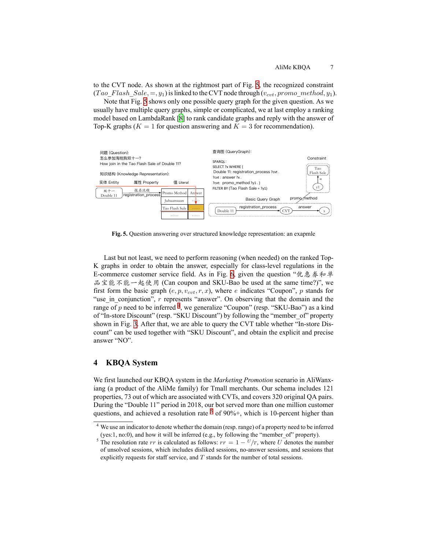to the CVT node. As shown at the rightmost part of Fig. [5](#page-6-1), the recognized constraint  $(Tao\ Flash\ Sale, =, y_1)$  is linked to the CVT node through  $(v_{cut}, promo\ method, y_1)$ .

Note that Fig. [5](#page-6-1) shows only one possible query graph for the given question. As we usually have multiple query graphs, simple or complicated, we at last employ a ranking model based on LambdaRank [\[8](#page-11-3)] to rank candidate graphs and reply with the answer of Top-K graphs ( $K = 1$  for question answering and  $K = 3$  for recommendation).



<span id="page-6-1"></span>**Fig. 5.** Question answering over structured knowledge representation: an exapmle

Last but not least, we need to perform reasoning (when needed) on the ranked Top-K graphs in order to obtain the answer, especially for class-level regulations in the E-commerce customer service field. As in Fig. [6,](#page-7-0) given the question "优惠券和单 品宝能不能一起使用 (Can coupon and SKU-Bao be used at the same time?)", we first form the basic graph  $(e, p, v_{\text{cut}}, r, x)$ , where *e* indicates "Coupon", *p* stands for "use in conjunction", *r* represents "answer". On observing that the domain and the range of p need to be inferred <sup>[4](#page-6-2)</sup>, we generalize "Coupon" (resp. "SKU-Bao") as a kind of "In-store Discount" (resp. "SKU Discount") by following the "member\_of" property shown in Fig. [3](#page-4-0). After that, we are able to query the CVT table whether "In-store Discount" can be used together with "SKU Discount", and obtain the explicit and precise answer "NO".

## <span id="page-6-0"></span>**4 KBQA System**

We first launched our KBQA system in the *Marketing Promotion* scenario in AliWanxiang (a product of the AliMe family) for Tmall merchants. Our schema includes 121 properties, 73 out of which are associated with CVTs, and covers 320 original QA pairs. During the "Double 11" period in 2018, our bot served more than one million customer questions, and achieved a resolution rate  $5$  of 90%+, which is 10-percent higher than

<span id="page-6-2"></span><sup>4</sup> We use an indicator to denote whether the domain (resp. range) of a property need to be inferred (yes:1, no:0), and how it will be inferred (e.g., by following the "member\_of" property).

<span id="page-6-3"></span><sup>&</sup>lt;sup>5</sup> The resolution rate  $rr$  is calculated as follows:  $rr = 1 - \frac{U}{T}$ , where *U* denotes the number of unsolved sessions, which includes disliked sessions, no-answer sessions, and sessions that explicitly requests for staff service, and *T* stands for the number of total sessions.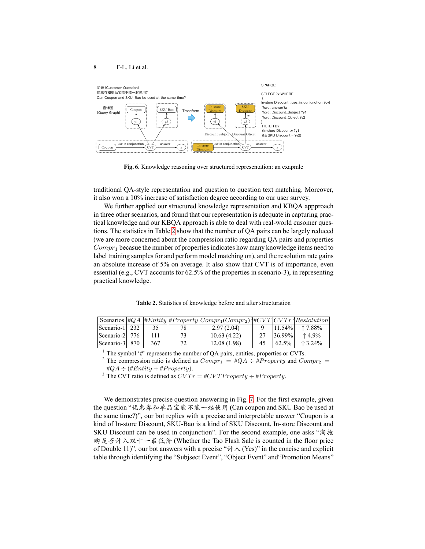

<span id="page-7-0"></span>**Fig. 6.** Knowledge reasoning over structured representation: an exapmle

traditional QA-style representation and question to question text matching. Moreover, it also won a 10% increase of satisfaction degree according to our user survey.

We further applied our structured knowledge representation and KBQA appproach in three other scenarios, and found that our representation is adequate in capturing practical knowledge and our KBQA approach is able to deal with real-world cusomer questions. The statistics in Table [2](#page-7-1) show that the number of QA pairs can be largely reduced (we are more concerned about the compression ratio regarding QA pairs and properties *Compr*<sup>1</sup> becasue the number of properties indicates how many knowledge items need to label training samples for and perform model matching on), and the resolution rate gains an absolute increase of 5% on average. It also show that CVT is of importance, even essential (e.g., CVT accounts for 62.5% of the properties in scenario-3), in representing practical knowledge.

<span id="page-7-1"></span>**Table 2.** Statistics of knowledge before and after structuration

|                        |     |    | Scenarios $\#QA \#Entity \# Property   Compr_1(Compr_2) \# CVT CVTr \}$ Restolution |    |           |                  |
|------------------------|-----|----|-------------------------------------------------------------------------------------|----|-----------|------------------|
| $ $ Scenario-1 $ $ 232 | 35  |    | 2.97(2.04)                                                                          |    | $11.54\%$ | $+7.88\%$        |
| $ Scenario-2 $ 776     |     | 73 | 10.63(4.22)                                                                         |    | $36.99\%$ | $+4.9%$          |
| Scenario-31 870        | 367 | 72 | 12.08(1.98)                                                                         | 45 | 62.5%     | $\uparrow$ 3.24% |

<sup>1</sup> The symbol '#' represents the number of QA pairs, entities, properties or CVTs.

<sup>2</sup> The compression ratio is defined as  $Compr_1 = #QA + #Property$  and  $Compr_2 =$  $\#QA \div (\#Entity + \#Property).$ 

<sup>3</sup> The CVT ratio is defined as  $CVTr = #CVTProperty + #Property$ .

We demonstrates precise question answering in Fig. [7.](#page-9-0) For the first example, given the question "优惠券和单品宝能不能⼀起使用 (Can coupon and SKU Bao be used at the same time?)", our bot replies with a precise and interpretable answer "Coupon is a kind of In-store Discount, SKU-Bao is a kind of SKU Discount, In-store Discount and SKU Discount can be used in conjunction". For the second example, one asks "淘抢 购是否计入双十一最低价 (Whether the Tao Flash Sale is counted in the floor price of Double 11)", our bot answers with a precise " $\forall \forall$  (Yes)" in the concise and explicit table through identifying the "Subjsect Event", "Object Event" and"Promotion Means"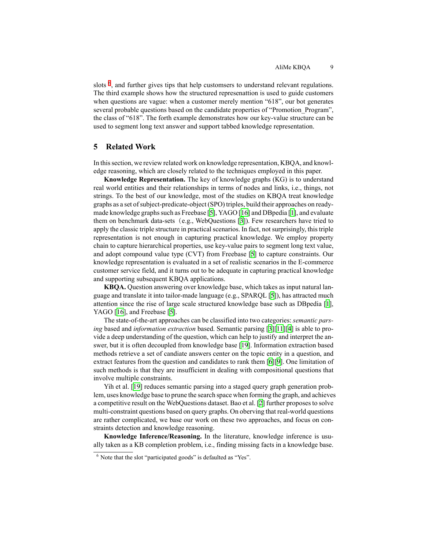slots <sup>[6](#page-8-1)</sup>, and further gives tips that help customsers to understand relevant regulations. The third example shows how the structured represenattion is used to guide customers when questions are vague: when a customer merely mention "618", our bot generates several probable questions based on the candidate properties of "Promotion Program". the class of "618". The forth example demonstrates how our key-value structure can be used to segment long text answer and support tabbed knowledge representation.

### <span id="page-8-0"></span>**5 Related Work**

In this section, we review related work on knowledge representation, KBQA, and knowledge reasoning, which are closely related to the techniques employed in this paper.

**Knowledge Representation.** The key of knowledge graphs (KG) is to understand real world entities and their relationships in terms of nodes and links, i.e., things, not strings. To the best of our knowledge, most of the studies on KBQA treat knowledge graphs as a set of subject-predicate-object (SPO) triples, build their approaches on readymade knowledge graphs such as Freebase [\[5](#page-10-1)], YAGO [\[16](#page-11-4)] and DBpedia[[1\]](#page-10-3), and evaluate them on benchmark data-sets(e.g., WebQuestions[[3\]](#page-10-4)). Few researchers have tried to apply the classic triple structure in practical scenarios. In fact, not surprisingly, this triple representation is not enough in capturing practical knowledge. We employ property chain to capture hierarchical properties, use key-value pairs to segment long text value, and adopt compound value type (CVT) from Freebase[[5\]](#page-10-1) to capture constraints. Our knowledge representation is evaluated in a set of realistic scenarios in the E-commerce customer service field, and it turns out to be adequate in capturing practical knowledge and supporting subsequent KBQA applications.

**KBQA.** Question answering over knowledge base, which takes as input natural language and translate it into tailor-made language (e.g., SPARQL [\[5](#page-10-1)]), has attracted much attention since the rise of large scale structured knowledge base such as DBpedia[[1\]](#page-10-3), YAGO [\[16](#page-11-4)],and Freebase [[5\]](#page-10-1).

The state-of-the-art approaches can be classified into two categories: *semantic parsing* based and *information extraction* based. Semantic parsing[[3\]](#page-10-4)[[11](#page-11-5)][[4\]](#page-10-5) is able to provide a deep understanding of the question, which can help to justify and interpret the answer, but it is often decoupled from knowledge base[[19\]](#page-11-1). Information extraction based methods retrieve a set of candiate answers center on the topic entity in a question, and extract features from the question and candidates to rank them [\[6](#page-11-6)][\[9](#page-11-7)]. One limitation of such methods is that they are insufficient in dealing with compositional questions that involve multiple constraints.

Yih et al. [\[19\]](#page-11-1) reduces semantic parsing into a staged query graph generation problem, uses knowledge base to prune the search space when forming the graph, and achieves a competitive result on the WebQuestions dataset. Bao et al. [\[2](#page-10-2)] further proposes to solve multi-constraint questions based on query graphs. On oberving that real-world questions are rather complicated, we base our work on these two approaches, and focus on constraints detection and knowledge reasoning.

**Knowledge Inference/Reasoning.** In the literature, knowledge inference is usually taken as a KB completion problem, i.e., finding missing facts in a knowledge base.

<span id="page-8-1"></span><sup>&</sup>lt;sup>6</sup> Note that the slot "participated goods" is defaulted as "Yes".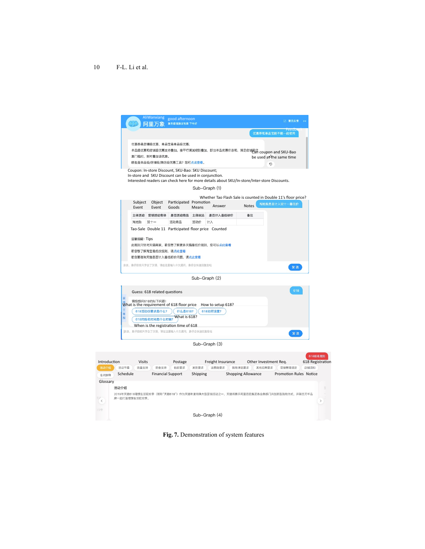#### 10 F-L. Li et al.

<span id="page-9-0"></span>

**Fig. 7.** Demonstration of system features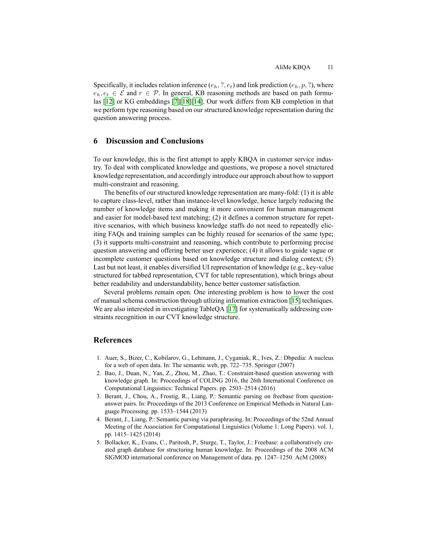Specifically, it includes relation inference  $(e_h, ?, e_t)$  and link prediction  $(e_h, p, ?)$ , where  $e_h, e_t \in \mathcal{E}$  and  $r \in \mathcal{P}$ . In general, KB reasoning methods are based on path formulas [\[12\]](#page-11-8) or KG embeddings [\[7\]](#page-11-9)[[18\]](#page-11-10)[\[14](#page-11-11)]. Our work differs from KB completion in that we perform type reasoning based on our structured knowledge representation during the question answering process.

#### <span id="page-10-0"></span>**6 Discussion and Conclusions**

To our knowledge, this is the first attempt to apply KBQA in customer service industry. To deal with complicated knowledge and questions, we propose a novel structured knowledge representation, and accordingly introduce our approach about how to support multi-constraint and reasoning.

The benefits of our structured knowledge representation are many-fold: (1) it is able to capture class-level, rather than instance-level knowledge, hence largely reducing the number of knowledge items and making it more convenient for human management and easier for model-based text matching; (2) it defines a common structure for repetitive scenarios, with which business knowledge staffs do not need to repeatedly eliciting FAQs and training samples can be highly reused for scenarios of the same type; (3) it supports multi-constraint and reasoning, which contribute to performing precise question answering and offering better user experience; (4) it allows to guide vague or incomplete customer questions based on knowledge structure and dialog context; (5) Last but not least, it enables diversified UI representation of knowledge (e.g., key-value structured for tabbed representation, CVT for table representation), which brings about better readability and understandability, hence better customer satisfaction.

Several problems remain open. One interesting problem is how to lower the cost of manual schema construction through utlizing information extraction [\[15](#page-11-12)] techniques. We are also interested in investigating TableQA [\[17](#page-11-13)] for systematically addressing constraints recognition in our CVT knowledge structure.

#### **References**

- <span id="page-10-3"></span>1. Auer, S., Bizer, C., Kobilarov, G., Lehmann, J., Cyganiak, R., Ives, Z.: Dbpedia: A nucleus for a web of open data. In: The semantic web, pp. 722–735. Springer (2007)
- <span id="page-10-2"></span>2. Bao, J., Duan, N., Yan, Z., Zhou, M., Zhao, T.: Constraint-based question answering with knowledge graph. In: Proceedings of COLING 2016, the 26th International Conference on Computational Linguistics: Technical Papers. pp. 2503–2514 (2016)
- <span id="page-10-4"></span>3. Berant, J., Chou, A., Frostig, R., Liang, P.: Semantic parsing on freebase from questionanswer pairs. In: Proceedings of the 2013 Conference on Empirical Methods in Natural Language Processing. pp. 1533–1544 (2013)
- <span id="page-10-5"></span>4. Berant, J., Liang, P.: Semantic parsing via paraphrasing. In: Proceedings of the 52nd Annual Meeting of the Association for Computational Linguistics (Volume 1: Long Papers). vol. 1, pp. 1415–1425 (2014)
- <span id="page-10-1"></span>5. Bollacker, K., Evans, C., Paritosh, P., Sturge, T., Taylor, J.: Freebase: a collaboratively created graph database for structuring human knowledge. In: Proceedings of the 2008 ACM SIGMOD international conference on Management of data. pp. 1247–1250. AcM (2008)